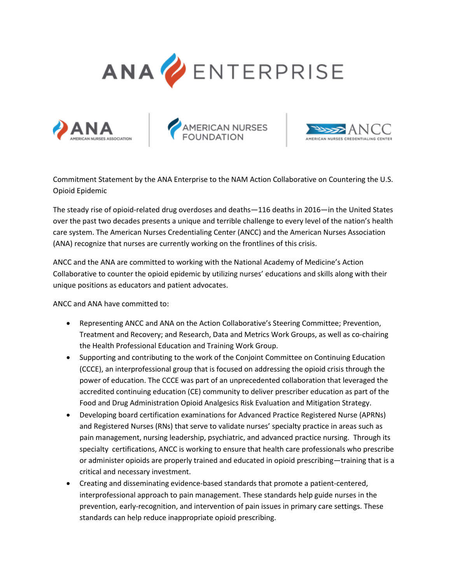



AMERICAN NURSES<br>FOUNDATION



Commitment Statement by the ANA Enterprise to the NAM Action Collaborative on Countering the U.S. Opioid Epidemic

The steady rise of opioid-related drug overdoses and deaths—116 deaths in 2016—in the United States over the past two decades presents a unique and terrible challenge to every level of the nation's health care system. The American Nurses Credentialing Center (ANCC) and the American Nurses Association (ANA) recognize that nurses are currently working on the frontlines of this crisis.

ANCC and the ANA are committed to working with the National Academy of Medicine's Action Collaborative to counter the opioid epidemic by utilizing nurses' educations and skills along with their unique positions as educators and patient advocates.

ANCC and ANA have committed to:

- Representing ANCC and ANA on the Action Collaborative's Steering Committee; Prevention, Treatment and Recovery; and Research, Data and Metrics Work Groups, as well as co-chairing the Health Professional Education and Training Work Group.
- Supporting and contributing to the work of the Conjoint Committee on Continuing Education (CCCE), an interprofessional group that is focused on addressing the opioid crisis through the power of education. The CCCE was part of an unprecedented collaboration that leveraged the accredited continuing education (CE) community to deliver prescriber education as part of the Food and Drug Administration Opioid Analgesics Risk Evaluation and Mitigation Strategy.
- Developing board certification examinations for Advanced Practice Registered Nurse (APRNs) and Registered Nurses (RNs) that serve to validate nurses' specialty practice in areas such as pain management, nursing leadership, psychiatric, and advanced practice nursing. Through its specialty certifications, ANCC is working to ensure that health care professionals who prescribe or administer opioids are properly trained and educated in opioid prescribing—training that is a critical and necessary investment.
- Creating and disseminating evidence-based standards that promote a patient-centered, interprofessional approach to pain management. These standards help guide nurses in the prevention, early-recognition, and intervention of pain issues in primary care settings. These standards can help reduce inappropriate opioid prescribing.